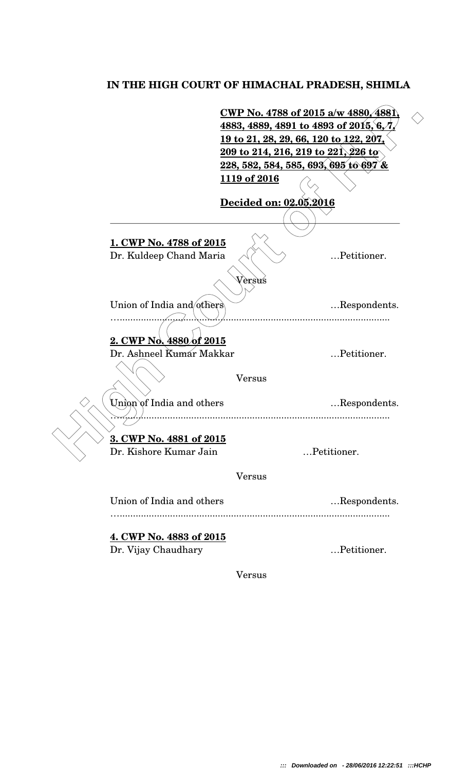## **IN THE HIGH COURT OF HIMACHAL PRADESH, SHIMLA**

 **High Court of H.P. CWP No. 4788 of 2015 a/w 4880, 4881, 4883, 4889, 4891 to 4893 of 2015, 6, 7, 19 to 21, 28, 29, 66, 120 to 122, 207, 209 to 214, 216, 219 to 221, 226 to 228, 582, 584, 585, 693, 695 to 697 & 1119 of 2016 Decided on: 02.05.2016 1. CWP No. 4788 of 2015** Dr. Kuldeep Chand Maria …Petitioner. Versus Union of India and others <br>
....Respondents. …...................................................................................................... **2. CWP No. 4880 of 2015** Dr. Ashneel Kumar Makkar …Petitioner. Versus Union of India and others ... Respondents. …...................................................................................................... **3. CWP No. 4881 of 2015** Dr. Kishore Kumar Jain …Petitioner. Versus Union of India and others .... Respondents. …...................................................................................................... **4. CWP No. 4883 of 2015** Dr. Vijay Chaudhary …Petitioner.

Versus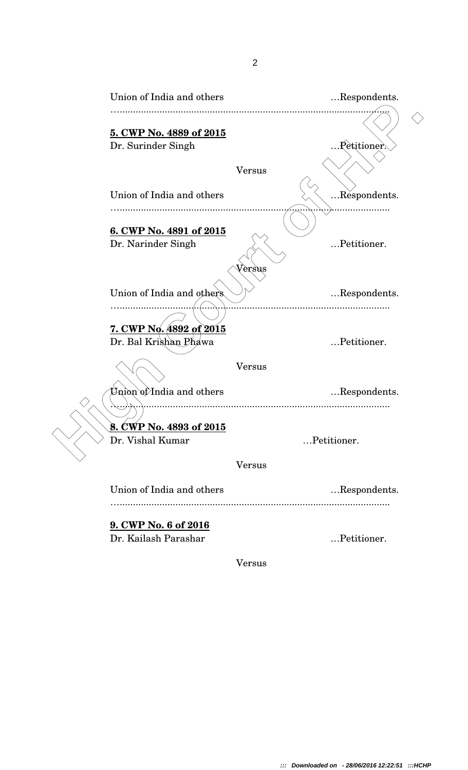| Union of India and others                           |               | Respondents.  |
|-----------------------------------------------------|---------------|---------------|
| 5. CWP No. 4889 of 2015<br>Dr. Surinder Singh       |               | . Petitioner. |
| Union of India and others                           | <b>Versus</b> | Respondents.  |
| 6. CWP No. 4891 of 2015<br>Dr. Narinder Singh       |               | Petitioner.   |
| Union of India and others                           | Versus        | Respondents.  |
| 7. CWP No. 4892 of 2015<br>Dr. Bal Krishan Phawa    |               | Petitioner.   |
| $\liminf$ of India and others                       | <b>Versus</b> | Respondents.  |
| CWP No. 4893 of 2015<br>8.<br>Dr. Vishal Kumar      |               | Petitioner.   |
|                                                     | <b>Versus</b> |               |
| Union of India and others                           |               | Respondents.  |
| <b>9. CWP No. 6 of 2016</b><br>Dr. Kailash Parashar |               | Petitioner.   |

Versus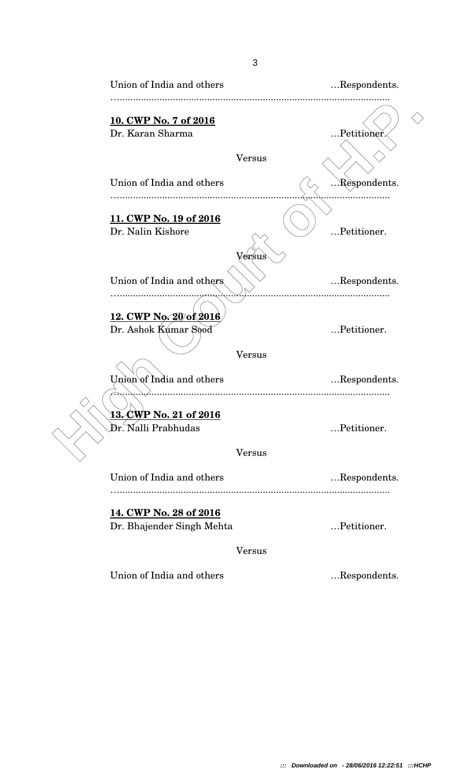| Union of India and others                           |               | Respondents. |
|-----------------------------------------------------|---------------|--------------|
| 10. CWP No. 7 of 2016                               |               |              |
| Dr. Karan Sharma                                    |               | Petitioner.  |
|                                                     | <b>Versus</b> |              |
| Union of India and others                           |               | Respondents. |
|                                                     |               |              |
| 11. CWP No. 19 of 2016<br>Dr. Nalin Kishore         |               | Petitioner.  |
| Union of India and others.                          | Versus        | Respondents. |
| <u>12. CWP No. 20 of 2016</u>                       |               |              |
| Dr. Ashok Kumar Sood                                |               | Petitioner.  |
|                                                     | <b>Versus</b> |              |
| Union of India and others                           |               | Respondents. |
| <u>13. CWP No. 21 of 2016</u>                       |               |              |
| Dr. Nalli Prabhudas                                 |               | Petitioner.  |
|                                                     | Versus        |              |
| Union of India and others                           |               | Respondents. |
|                                                     |               |              |
| 14. CWP No. 28 of 2016<br>Dr. Bhajender Singh Mehta |               | Petitioner.  |
|                                                     | <b>Versus</b> |              |
| Union of India and others                           |               | Respondents. |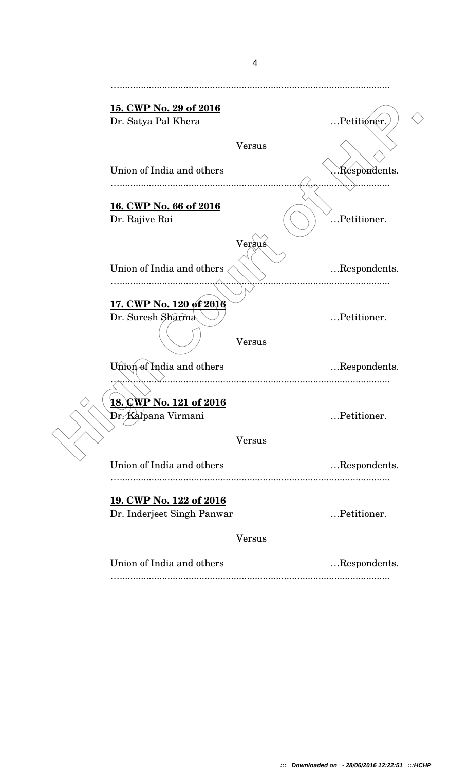| <u>15. CWP No. 29 of 2016</u>  |              |
|--------------------------------|--------------|
| Dr. Satya Pal Khera            | Petitioner.  |
| <b>Versus</b>                  |              |
| Union of India and others      | Respondents. |
| 16. CWP No. 66 of 2016         |              |
| Dr. Rajive Rai                 | Petitioner.  |
| Versus                         |              |
| Union of India and others      | Respondents. |
| 17. CWP No. 120 of 2016        |              |
| Dr. Suresh Sharma              | Petitioner.  |
| <b>Versus</b>                  |              |
| Union of India and others      | Respondents. |
|                                |              |
| <u>18. ÇWP No. 121 of 2016</u> |              |
| Dr. Kalpana Virmani            | Petitioner.  |
| <b>Versus</b>                  |              |
| Union of India and others      | Respondents. |
|                                |              |
| 19. CWP No. 122 of 2016        |              |
| Dr. Inderjeet Singh Panwar     | Petitioner.  |
| <b>Versus</b>                  |              |
| Union of India and others      | Respondents. |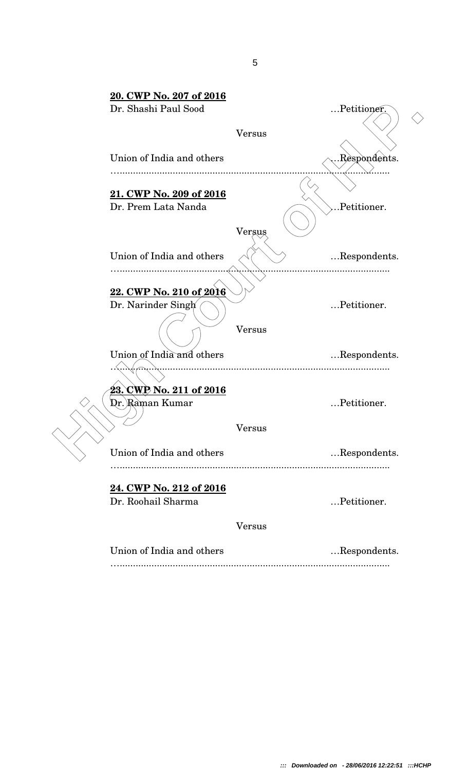| 20. CWP No. 207 of 2016        |               |              |  |
|--------------------------------|---------------|--------------|--|
| Dr. Shashi Paul Sood           |               | Petitioner.  |  |
|                                | <b>Versus</b> |              |  |
| Union of India and others      |               | Respondents. |  |
| 21. CWP No. 209 of 2016        |               |              |  |
| Dr. Prem Lata Nanda            |               | .Petitioner. |  |
|                                | Versus        |              |  |
| Union of India and others      |               | Respondents. |  |
|                                |               |              |  |
| 22. CWP No. 210 of 2016        |               |              |  |
| Dr. Narinder Singh             |               | Petitioner.  |  |
|                                | Versus        |              |  |
| Union of India and others      |               | Respondents. |  |
|                                |               |              |  |
| <u>23. CWP No. 211 of 2016</u> |               |              |  |
| Dr.)Raman Kumar                |               | Petitioner.  |  |
|                                | Versus        |              |  |
| Union of India and others      |               | Respondents. |  |
| 24. CWP No. 212 of 2016        |               |              |  |
| Dr. Roohail Sharma             |               | Petitioner.  |  |
|                                | <b>Versus</b> |              |  |
| Union of India and others      |               | Respondents. |  |
|                                |               |              |  |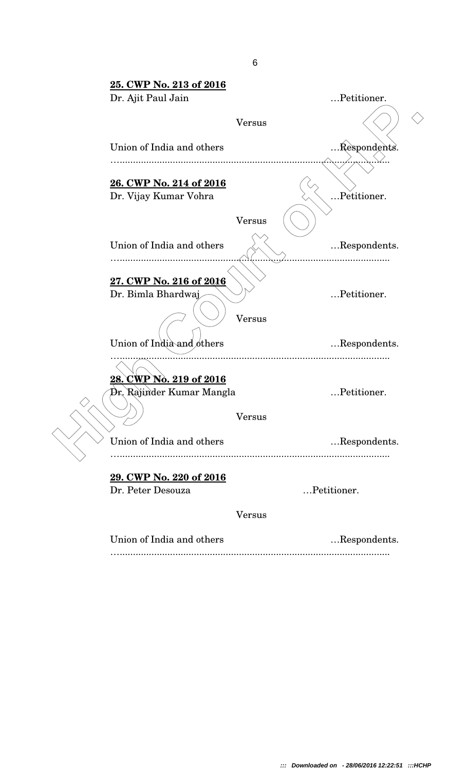| 25. CWP No. 213 of 2016                                     |               |                 |  |
|-------------------------------------------------------------|---------------|-----------------|--|
| Dr. Ajit Paul Jain                                          |               | Petitioner.     |  |
|                                                             | <b>Versus</b> |                 |  |
| Union of India and others                                   |               | Respondents.    |  |
| 26. CWP No. 214 of 2016<br>Dr. Vijay Kumar Vohra            |               | Petitioner.     |  |
|                                                             | Versus        |                 |  |
| Union of India and others<br>                               |               | Respondents.    |  |
| 27. CWP No. 216 of 2016<br>Dr. Bimla Bhardwaj               | Versus        | Petitioner.     |  |
| Union of India and others                                   |               | Respondents.    |  |
| <u>28. CWP Nò. 219 of 2016</u><br>Dr. Rajinder Kumar Mangla | Versus        | <br>Petitioner. |  |
| Union of India and others                                   |               | Respondents.    |  |
|                                                             |               |                 |  |
| 29. CWP No. 220 of 2016<br>Dr. Peter Desouza                |               | Petitioner.     |  |
|                                                             | <b>Versus</b> |                 |  |
| Union of India and others                                   |               | Respondents.    |  |
|                                                             |               |                 |  |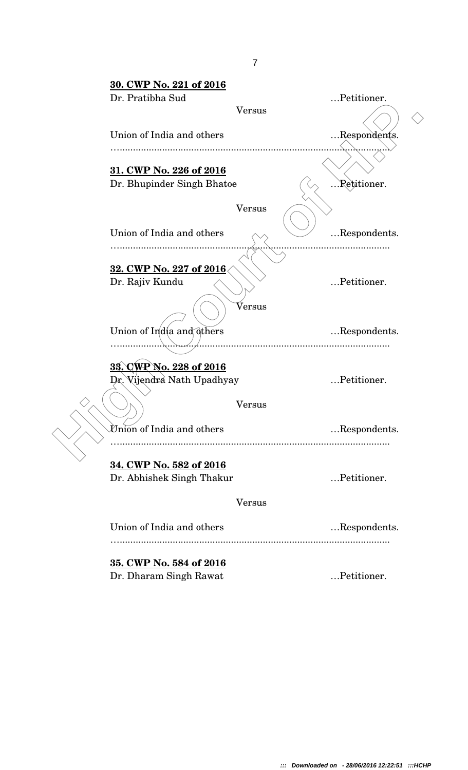| 30. CWP No. 221 of 2016                    |               |              |  |
|--------------------------------------------|---------------|--------------|--|
| Dr. Pratibha Sud                           |               | Petitioner.  |  |
|                                            | <b>Versus</b> |              |  |
| Union of India and others                  |               | Respondents. |  |
| 31. CWP No. 226 of 2016                    |               |              |  |
| Dr. Bhupinder Singh Bhatoe                 |               | Retitioner.  |  |
|                                            | <b>Versus</b> |              |  |
| Union of India and others                  |               | Respondents. |  |
|                                            |               |              |  |
| 32. CWP No. 227 of 2016<br>Dr. Rajiv Kundu |               | Petitioner.  |  |
|                                            | Versus        |              |  |
| Union of India and others                  |               | Respondents. |  |
| 33. CWP No. 228 of 2016                    |               |              |  |
| Dr. Vijendra Nath Upadhyay                 |               | Petitioner.  |  |
|                                            | $\rm Versus$  |              |  |
| Union of India and others                  |               | Respondents. |  |
| 34. CWP No. 582 of 2016                    |               |              |  |
| Dr. Abhishek Singh Thakur                  |               | Petitioner.  |  |
|                                            | <b>Versus</b> |              |  |
| Union of India and others                  |               | Respondents. |  |
| 35. CWP No. 584 of 2016                    |               |              |  |
| Dr. Dharam Singh Rawat                     |               | Petitioner.  |  |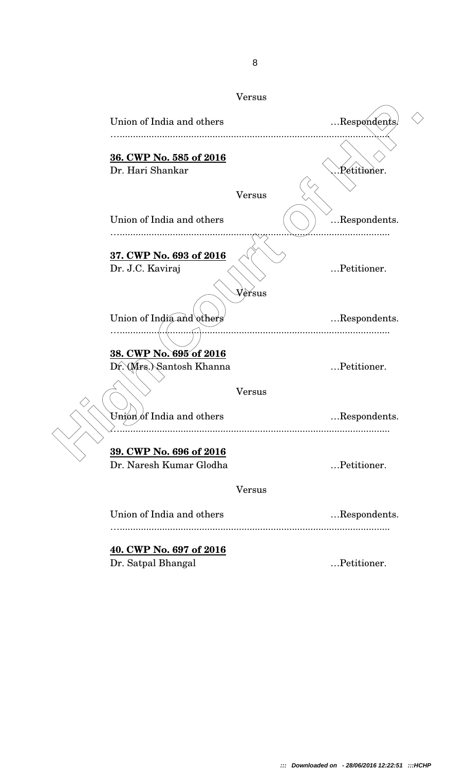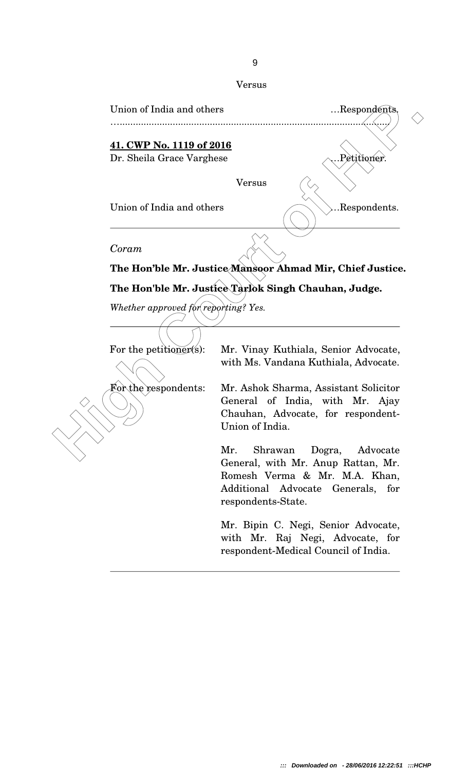

General, with Mr. Anup Rattan, Mr. Romesh Verma & Mr. M.A. Khan, Additional Advocate Generals, for respondents-State.

Mr. Bipin C. Negi, Senior Advocate, with Mr. Raj Negi, Advocate, for respondent-Medical Council of India.

## Versus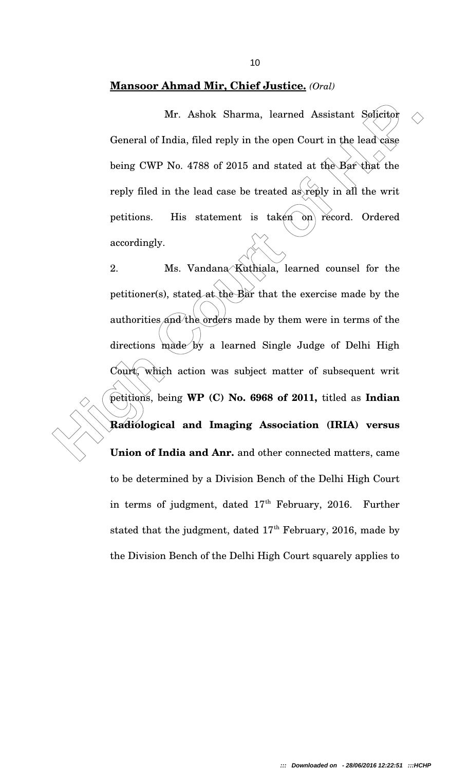## **Mansoor Ahmad Mir, Chief Justice.** *(Oral)*

Mr. Ashok Sharma, learned Assistant Solicitor General of India, filed reply in the open Court in the lead case being CWP No. 4788 of 2015 and stated at the Bar that the reply filed in the lead case be treated as reply in all the writ petitions. His statement is taken  $\omega$  record. Ordered accordingly.

Mr. Ashok Sharma, learned Assistant Solicitor Conreral of India, filed reply in the open Court in the lead case<br>being CWP No. 4768 of 2015 and stated at the Bar that the<br>reply filed in the lead case be treated as reply in 2. Ms. Vandana Kuthiala, learned counsel for the petitioner(s), stated at the Bar that the exercise made by the authorities and the orders made by them were in terms of the directions made by a learned Single Judge of Delhi High Court, which action was subject matter of subsequent writ petitions, being **WP (C) No. 6968 of 2011,** titled as **Indian Radiological and Imaging Association (IRIA) versus Union of India and Anr.** and other connected matters, came to be determined by a Division Bench of the Delhi High Court in terms of judgment, dated  $17<sup>th</sup>$  February, 2016. Further stated that the judgment, dated  $17<sup>th</sup>$  February, 2016, made by the Division Bench of the Delhi High Court squarely applies to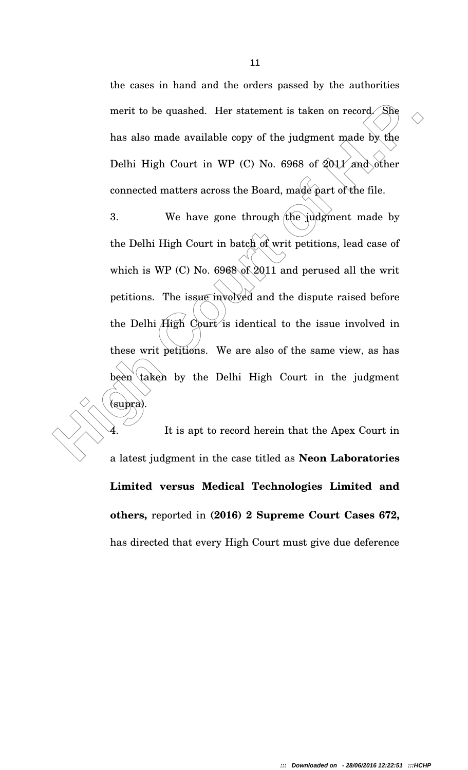the cases in hand and the orders passed by the authorities merit to be quashed. Her statement is taken on record. She has also made available copy of the judgment made by the Delhi High Court in WP (C) No. 6968 of  $2011$  and other connected matters across the Board, made part of the file.

merit to be quashed. Her statement is taken on record. She<br>has also made available copy of the judgment made by the<br>Delhi High Court in WP (C) No. 6968 of 2011 and other<br>connected matters across the Board, made part of the 3. We have gone through the judgment made by the Delhi High Court in batch of writ petitions, lead case of which is WP (C) No.  $6968$  of 2011 and perused all the writ petitions. The issue involved and the dispute raised before the Delhi High Court is identical to the issue involved in these writ petitions. We are also of the same view, as has been taken by the Delhi High Court in the judgment (supra).

It is apt to record herein that the Apex Court in a latest judgment in the case titled as **Neon Laboratories Limited versus Medical Technologies Limited and others,** reported in **(2016) 2 Supreme Court Cases 672,** has directed that every High Court must give due deference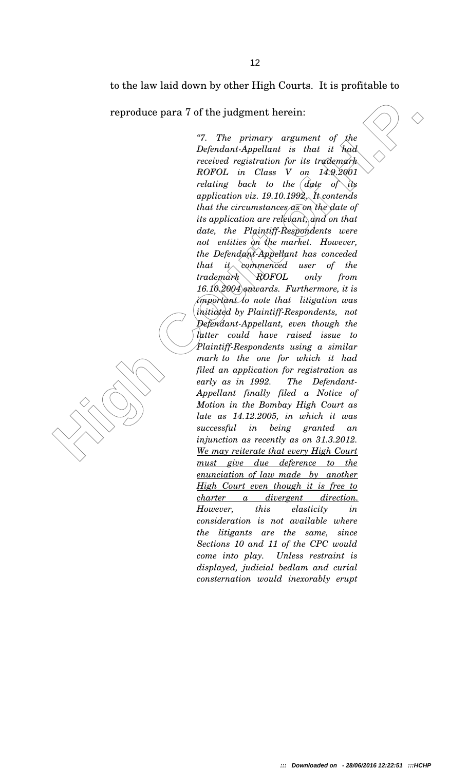to the law laid down by other High Courts. It is profitable to

reproduce para 7 of the judgment herein:

**reproduce para 7 of the judgment herein:**<br>
"7. The primary argument of the Defendant-Appellant is that it had received registration for its rocking of the Collember's control  $ROPOL$  in Class V on  $14.92601$ .<br>  $ROPOL$  in Cla *"7. The primary argument of the DefendantAppellant is that it had received registration for its trademark ROFOL in Class V on 14.9.2001 relating back to the date of its application viz. 19.10.1992. It contends that the circumstances as on the date of its application are relevant, and on that date, the Plaintiff-Respondents were not entities on the market. However, the Defendant-Appellant has conceded that it commenced user of the trademark ROFOL only from 16.10.2004 onwards. Furthermore, it is important to note that litigation was initiated by Plaintiff-Respondents, not DefendantAppellant, even though the latter could have raised issue to Plaintiff-Respondents using a similar mark to the one for which it had filed an application for registration as early as in 1992. The Defendant-Appellant finally filed a Notice of Motion in the Bombay High Court as late as 14.12.2005, in which it was successful in being granted an injunction as recently as on 31.3.2012. We may reiterate that every High Court must give due deference to the enunciation of law made by another High Court even though it is free to charter a divergent direction. However, this elasticity in consideration is not available where the litigants are the same, since Sections 10 and 11 of the CPC would come into play. Unless restraint is displayed, judicial bedlam and curial consternation would inexorably erupt*